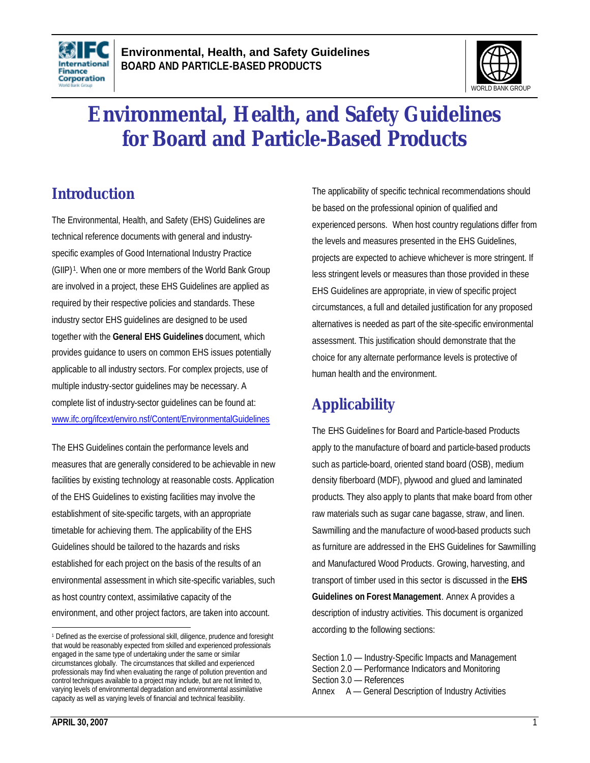



# **Environmental, Health, and Safety Guidelines for Board and Particle-Based Products**

# **Introduction**

The Environmental, Health, and Safety (EHS) Guidelines are technical reference documents with general and industryspecific examples of Good International Industry Practice (GIIP) <sup>1</sup> . When one or more members of the World Bank Group are involved in a project, these EHS Guidelines are applied as required by their respective policies and standards. These industry sector EHS guidelines are designed to be used together with the **General EHS Guidelines** document, which provides guidance to users on common EHS issues potentially applicable to all industry sectors. For complex projects, use of multiple industry-sector guidelines may be necessary. A complete list of industry-sector guidelines can be found at: www.ifc.org/ifcext/enviro.nsf/Content/EnvironmentalGuidelines

The EHS Guidelines contain the performance levels and measures that are generally considered to be achievable in new facilities by existing technology at reasonable costs. Application of the EHS Guidelines to existing facilities may involve the establishment of site-specific targets, with an appropriate timetable for achieving them. The applicability of the EHS Guidelines should be tailored to the hazards and risks established for each project on the basis of the results of an environmental assessment in which site-specific variables, such as host country context, assimilative capacity of the environment, and other project factors, are taken into account.

The applicability of specific technical recommendations should be based on the professional opinion of qualified and experienced persons. When host country regulations differ from the levels and measures presented in the EHS Guidelines, projects are expected to achieve whichever is more stringent. If less stringent levels or measures than those provided in these EHS Guidelines are appropriate, in view of specific project circumstances, a full and detailed justification for any proposed alternatives is needed as part of the site-specific environmental assessment. This justification should demonstrate that the choice for any alternate performance levels is protective of human health and the environment.

# **Applicability**

The EHS Guidelines for Board and Particle-based Products apply to the manufacture of board and particle-based products such as particle-board, oriented stand board (OSB), medium density fiberboard (MDF), plywood and glued and laminated products. They also apply to plants that make board from other raw materials such as sugar cane bagasse, straw, and linen. Sawmilling and the manufacture of wood-based products such as furniture are addressed in the EHS Guidelines for Sawmilling and Manufactured Wood Products. Growing, harvesting, and transport of timber used in this sector is discussed in the **EHS Guidelines on Forest Management**. Annex A provides a description of industry activities. This document is organized according to the following sections:

Section 1.0 — Industry-Specific Impacts and Management Section 2.0 — Performance Indicators and Monitoring Section 3.0 — References Annex A — General Description of Industry Activities

 $\overline{a}$ <sup>1</sup> Defined as the exercise of professional skill, diligence, prudence and foresight that would be reasonably expected from skilled and experienced professionals engaged in the same type of undertaking under the same or similar circumstances globally. The circumstances that skilled and experienced professionals may find when evaluating the range of pollution prevention and control techniques available to a project may include, but are not limited to, varying levels of environmental degradation and environmental assimilative capacity as well as varying levels of financial and technical feasibility.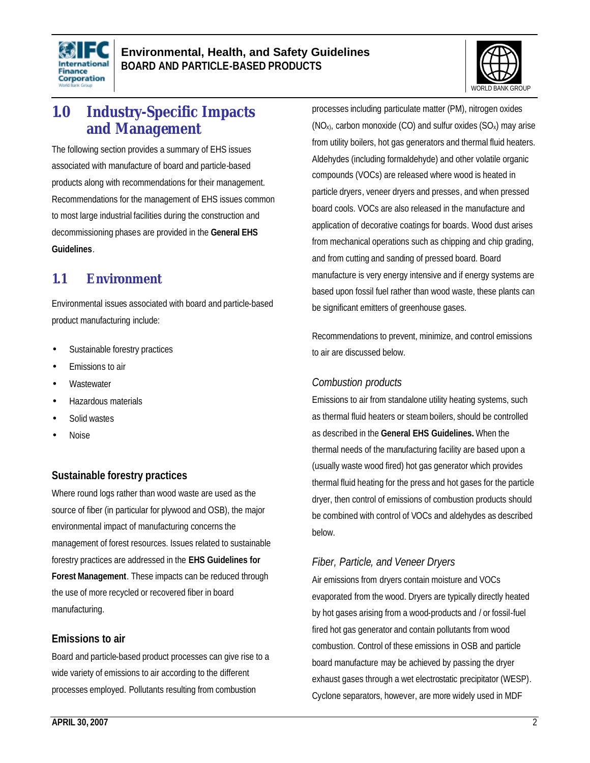



# **1.0 Industry-Specific Impacts and Management**

The following section provides a summary of EHS issues associated with manufacture of board and particle-based products along with recommendations for their management. Recommendations for the management of EHS issues common to most large industrial facilities during the construction and decommissioning phases are provided in the **General EHS Guidelines**.

# **1.1 Environment**

Environmental issues associated with board and particle-based product manufacturing include:

- Sustainable forestry practices
- Emissions to air
- **Wastewater**
- Hazardous materials
- Solid wastes
- Noise

# **Sustainable forestry practices**

Where round logs rather than wood waste are used as the source of fiber (in particular for plywood and OSB), the major environmental impact of manufacturing concerns the management of forest resources. Issues related to sustainable forestry practices are addressed in the **EHS Guidelines for Forest Management**. These impacts can be reduced through the use of more recycled or recovered fiber in board manufacturing.

### **Emissions to air**

Board and particle-based product processes can give rise to a wide variety of emissions to air according to the different processes employed. Pollutants resulting from combustion

processes including particulate matter (PM), nitrogen oxides  $(NO_x)$ , carbon monoxide  $(CO)$  and sulfur oxides  $(SO_x)$  may arise from utility boilers, hot gas generators and thermal fluid heaters. Aldehydes (including formaldehyde) and other volatile organic compounds (VOCs) are released where wood is heated in particle dryers, veneer dryers and presses, and when pressed board cools. VOCs are also released in the manufacture and application of decorative coatings for boards. Wood dust arises from mechanical operations such as chipping and chip grading, and from cutting and sanding of pressed board. Board manufacture is very energy intensive and if energy systems are based upon fossil fuel rather than wood waste, these plants can be significant emitters of greenhouse gases.

Recommendations to prevent, minimize, and control emissions to air are discussed below.

#### *Combustion products*

Emissions to air from standalone utility heating systems, such as thermal fluid heaters or steam boilers, should be controlled as described in the **General EHS Guidelines.** When the thermal needs of the manufacturing facility are based upon a (usually waste wood fired) hot gas generator which provides thermal fluid heating for the press and hot gases for the particle dryer, then control of emissions of combustion products should be combined with control of VOCs and aldehydes as described below.

# *Fiber, Particle, and Veneer Dryers*

Air emissions from dryers contain moisture and VOCs evaporated from the wood. Dryers are typically directly heated by hot gases arising from a wood-products and / or fossil-fuel fired hot gas generator and contain pollutants from wood combustion. Control of these emissions in OSB and particle board manufacture may be achieved by passing the dryer exhaust gases through a wet electrostatic precipitator (WESP). Cyclone separators, however, are more widely used in MDF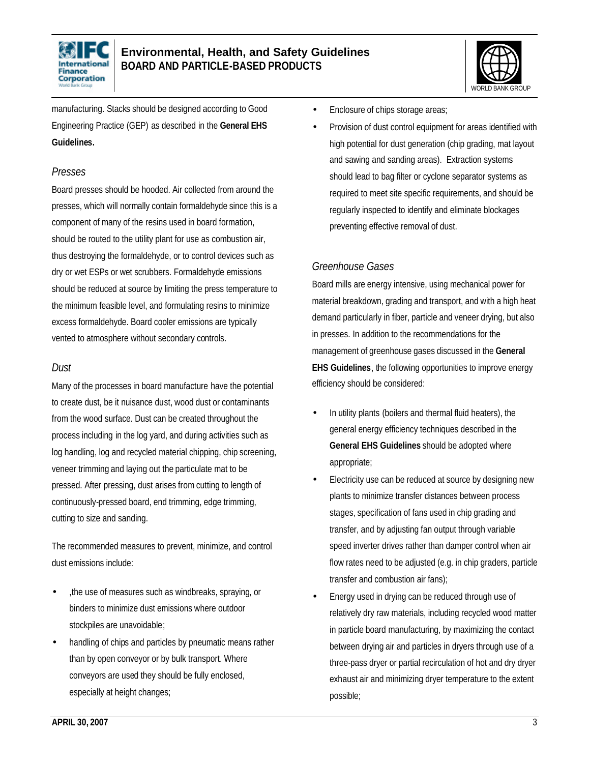



manufacturing. Stacks should be designed according to Good Engineering Practice (GEP) as described in the **General EHS Guidelines.**

#### *Presses*

Board presses should be hooded. Air collected from around the presses, which will normally contain formaldehyde since this is a component of many of the resins used in board formation, should be routed to the utility plant for use as combustion air, thus destroying the formaldehyde, or to control devices such as dry or wet ESPs or wet scrubbers. Formaldehyde emissions should be reduced at source by limiting the press temperature to the minimum feasible level, and formulating resins to minimize excess formaldehyde. Board cooler emissions are typically vented to atmosphere without secondary controls.

### *Dust*

Many of the processes in board manufacture have the potential to create dust, be it nuisance dust, wood dust or contaminants from the wood surface. Dust can be created throughout the process including in the log yard, and during activities such as log handling, log and recycled material chipping, chip screening, veneer trimming and laying out the particulate mat to be pressed. After pressing, dust arises from cutting to length of continuously-pressed board, end trimming, edge trimming, cutting to size and sanding.

The recommended measures to prevent, minimize, and control dust emissions include:

- ,the use of measures such as windbreaks, spraying, or binders to minimize dust emissions where outdoor stockpiles are unavoidable;
- handling of chips and particles by pneumatic means rather than by open conveyor or by bulk transport. Where conveyors are used they should be fully enclosed, especially at height changes;
- Enclosure of chips storage areas;
- Provision of dust control equipment for areas identified with high potential for dust generation (chip grading, mat layout and sawing and sanding areas). Extraction systems should lead to bag filter or cyclone separator systems as required to meet site specific requirements, and should be regularly inspected to identify and eliminate blockages preventing effective removal of dust.

### *Greenhouse Gases*

Board mills are energy intensive, using mechanical power for material breakdown, grading and transport, and with a high heat demand particularly in fiber, particle and veneer drying, but also in presses. In addition to the recommendations for the management of greenhouse gases discussed in the **General EHS Guidelines**, the following opportunities to improve energy efficiency should be considered:

- In utility plants (boilers and thermal fluid heaters), the general energy efficiency techniques described in the **General EHS Guidelines** should be adopted where appropriate;
- Electricity use can be reduced at source by designing new plants to minimize transfer distances between process stages, specification of fans used in chip grading and transfer, and by adjusting fan output through variable speed inverter drives rather than damper control when air flow rates need to be adjusted (e.g. in chip graders, particle transfer and combustion air fans);
- Energy used in drying can be reduced through use of relatively dry raw materials, including recycled wood matter in particle board manufacturing, by maximizing the contact between drying air and particles in dryers through use of a three-pass dryer or partial recirculation of hot and dry dryer exhaust air and minimizing dryer temperature to the extent possible;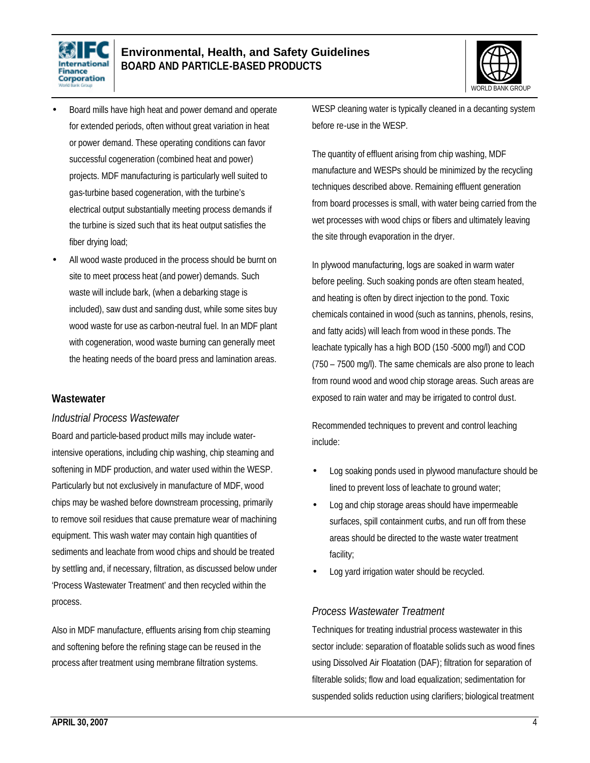



- Board mills have high heat and power demand and operate for extended periods, often without great variation in heat or power demand. These operating conditions can favor successful cogeneration (combined heat and power) projects. MDF manufacturing is particularly well suited to gas-turbine based cogeneration, with the turbine's electrical output substantially meeting process demands if the turbine is sized such that its heat output satisfies the fiber drying load;
- All wood waste produced in the process should be burnt on site to meet process heat (and power) demands. Such waste will include bark, (when a debarking stage is included), saw dust and sanding dust, while some sites buy wood waste for use as carbon-neutral fuel. In an MDF plant with cogeneration, wood waste burning can generally meet the heating needs of the board press and lamination areas.

#### **Wastewater**

#### *Industrial Process Wastewater*

Board and particle-based product mills may include waterintensive operations, including chip washing, chip steaming and softening in MDF production, and water used within the WESP. Particularly but not exclusively in manufacture of MDF, wood chips may be washed before downstream processing, primarily to remove soil residues that cause premature wear of machining equipment. This wash water may contain high quantities of sediments and leachate from wood chips and should be treated by settling and, if necessary, filtration, as discussed below under 'Process Wastewater Treatment' and then recycled within the process.

Also in MDF manufacture, effluents arising from chip steaming and softening before the refining stage can be reused in the process after treatment using membrane filtration systems.

WESP cleaning water is typically cleaned in a decanting system before re-use in the WESP.

The quantity of effluent arising from chip washing, MDF manufacture and WESPs should be minimized by the recycling techniques described above. Remaining effluent generation from board processes is small, with water being carried from the wet processes with wood chips or fibers and ultimately leaving the site through evaporation in the dryer.

In plywood manufacturing, logs are soaked in warm water before peeling. Such soaking ponds are often steam heated, and heating is often by direct injection to the pond. Toxic chemicals contained in wood (such as tannins, phenols, resins, and fatty acids) will leach from wood in these ponds. The leachate typically has a high BOD (150 -5000 mg/l) and COD (750 – 7500 mg/l). The same chemicals are also prone to leach from round wood and wood chip storage areas. Such areas are exposed to rain water and may be irrigated to control dust.

Recommended techniques to prevent and control leaching include:

- Log soaking ponds used in plywood manufacture should be lined to prevent loss of leachate to ground water;
- Log and chip storage areas should have impermeable surfaces, spill containment curbs, and run off from these areas should be directed to the waste water treatment facility;
- Log yard irrigation water should be recycled.

#### *Process Wastewater Treatment*

Techniques for treating industrial process wastewater in this sector include: separation of floatable solids such as wood fines using Dissolved Air Floatation (DAF); filtration for separation of filterable solids; flow and load equalization; sedimentation for suspended solids reduction using clarifiers; biological treatment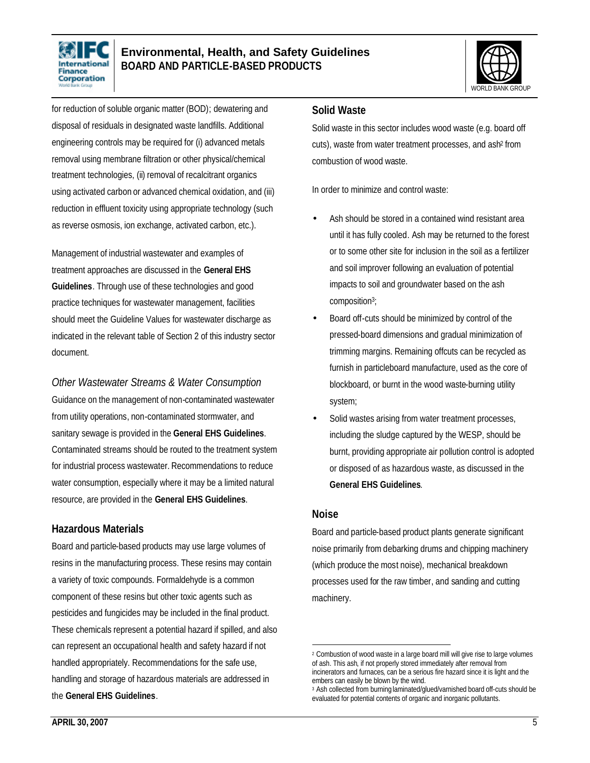



for reduction of soluble organic matter (BOD); dewatering and disposal of residuals in designated waste landfills. Additional engineering controls may be required for (i) advanced metals removal using membrane filtration or other physical/chemical treatment technologies, (ii) removal of recalcitrant organics using activated carbon or advanced chemical oxidation, and (iii) reduction in effluent toxicity using appropriate technology (such as reverse osmosis, ion exchange, activated carbon, etc.).

Management of industrial wastewater and examples of treatment approaches are discussed in the **General EHS Guidelines**. Through use of these technologies and good practice techniques for wastewater management, facilities should meet the Guideline Values for wastewater discharge as indicated in the relevant table of Section 2 of this industry sector document.

*Other Wastewater Streams & Water Consumption* Guidance on the management of non-contaminated wastewater from utility operations, non-contaminated stormwater, and sanitary sewage is provided in the **General EHS Guidelines**. Contaminated streams should be routed to the treatment system for industrial process wastewater. Recommendations to reduce water consumption, especially where it may be a limited natural resource, are provided in the **General EHS Guidelines**.

### **Hazardous Materials**

Board and particle-based products may use large volumes of resins in the manufacturing process. These resins may contain a variety of toxic compounds. Formaldehyde is a common component of these resins but other toxic agents such as pesticides and fungicides may be included in the final product. These chemicals represent a potential hazard if spilled, and also can represent an occupational health and safety hazard if not handled appropriately. Recommendations for the safe use, handling and storage of hazardous materials are addressed in the **General EHS Guidelines**.

#### **Solid Waste**

Solid waste in this sector includes wood waste (e.g. board off cuts), waste from water treatment processes, and ash<sup>2</sup> from combustion of wood waste.

In order to minimize and control waste:

- Ash should be stored in a contained wind resistant area until it has fully cooled. Ash may be returned to the forest or to some other site for inclusion in the soil as a fertilizer and soil improver following an evaluation of potential impacts to soil and groundwater based on the ash composition<sup>3</sup>;
- Board off-cuts should be minimized by control of the pressed-board dimensions and gradual minimization of trimming margins. Remaining offcuts can be recycled as furnish in particleboard manufacture, used as the core of blockboard, or burnt in the wood waste-burning utility system;
- Solid wastes arising from water treatment processes, including the sludge captured by the WESP, should be burnt, providing appropriate air pollution control is adopted or disposed of as hazardous waste, as discussed in the **General EHS Guidelines**.

### **Noise**

Board and particle-based product plants generate significant noise primarily from debarking drums and chipping machinery (which produce the most noise), mechanical breakdown processes used for the raw timber, and sanding and cutting machinery.

<sup>1</sup> <sup>2</sup> Combustion of wood waste in a large board mill will give rise to large volumes of ash. This ash, if not properly stored immediately after removal from incinerators and furnaces, can be a serious fire hazard since it is light and the embers can easily be blown by the wind.

<sup>&</sup>lt;sup>3</sup> Ash collected from burning laminated/glued/varnished board off-cuts should be evaluated for potential contents of organic and inorganic pollutants.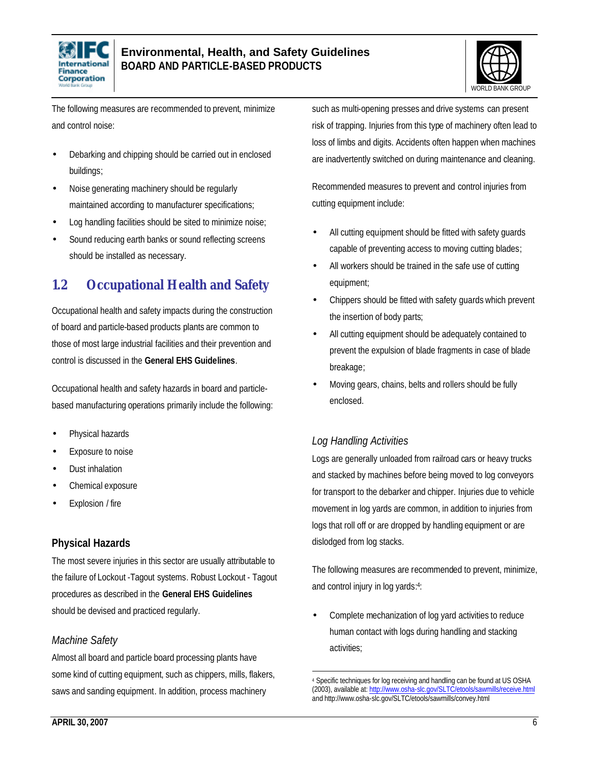



The following measures are recommended to prevent, minimize and control noise:

- Debarking and chipping should be carried out in enclosed buildings;
- Noise generating machinery should be regularly maintained according to manufacturer specifications;
- Log handling facilities should be sited to minimize noise;
- Sound reducing earth banks or sound reflecting screens should be installed as necessary.

# **1.2 Occupational Health and Safety**

Occupational health and safety impacts during the construction of board and particle-based products plants are common to those of most large industrial facilities and their prevention and control is discussed in the **General EHS Guidelines**.

Occupational health and safety hazards in board and particlebased manufacturing operations primarily include the following:

- Physical hazards
- Exposure to noise
- Dust inhalation
- Chemical exposure
- Explosion / fire

# **Physical Hazards**

The most severe injuries in this sector are usually attributable to the failure of Lockout -Tagout systems. Robust Lockout - Tagout procedures as described in the **General EHS Guidelines** should be devised and practiced regularly.

### *Machine Safety*

Almost all board and particle board processing plants have some kind of cutting equipment, such as chippers, mills, flakers, saws and sanding equipment. In addition, process machinery

such as multi-opening presses and drive systems can present risk of trapping. Injuries from this type of machinery often lead to loss of limbs and digits. Accidents often happen when machines are inadvertently switched on during maintenance and cleaning.

Recommended measures to prevent and control injuries from cutting equipment include:

- All cutting equipment should be fitted with safety guards capable of preventing access to moving cutting blades;
- All workers should be trained in the safe use of cutting equipment;
- Chippers should be fitted with safety guards which prevent the insertion of body parts;
- All cutting equipment should be adequately contained to prevent the expulsion of blade fragments in case of blade breakage;
- Moving gears, chains, belts and rollers should be fully enclosed.

# *Log Handling Activities*

Logs are generally unloaded from railroad cars or heavy trucks and stacked by machines before being moved to log conveyors for transport to the debarker and chipper. Injuries due to vehicle movement in log yards are common, in addition to injuries from logs that roll off or are dropped by handling equipment or are dislodged from log stacks.

The following measures are recommended to prevent, minimize, and control injury in log yards: 4 :

• Complete mechanization of log yard activities to reduce human contact with logs during handling and stacking activities;

 $\overline{a}$ 4 Specific techniques for log receiving and handling can be found at US OSHA (2003), available at: http://www.osha-slc.gov/SLTC/etools/sawmills/receive.html and http://www.osha-slc.gov/SLTC/etools/sawmills/convey.html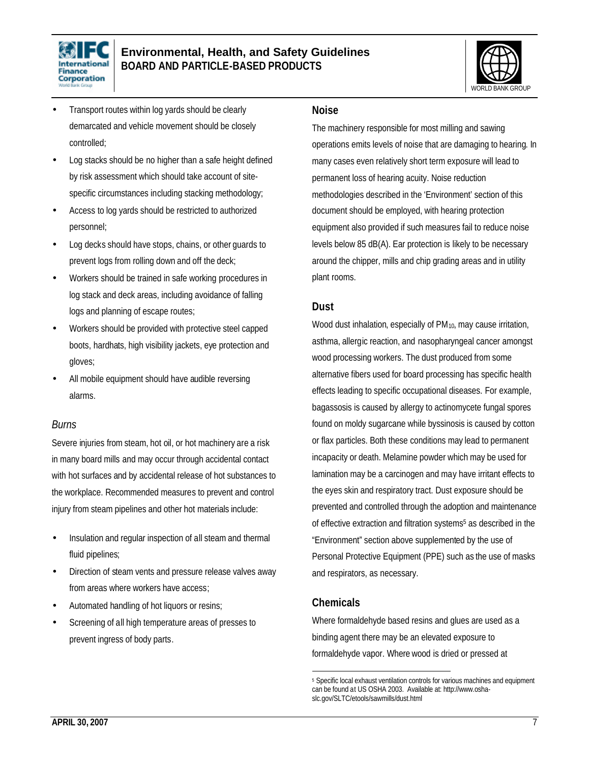



- Transport routes within log yards should be clearly demarcated and vehicle movement should be closely controlled;
- Log stacks should be no higher than a safe height defined by risk assessment which should take account of sitespecific circumstances including stacking methodology;
- Access to log yards should be restricted to authorized personnel;
- Log decks should have stops, chains, or other guards to prevent logs from rolling down and off the deck;
- Workers should be trained in safe working procedures in log stack and deck areas, including avoidance of falling logs and planning of escape routes;
- Workers should be provided with protective steel capped boots, hardhats, high visibility jackets, eye protection and gloves;
- All mobile equipment should have audible reversing alarms.

### *Burns*

Severe injuries from steam, hot oil, or hot machinery are a risk in many board mills and may occur through accidental contact with hot surfaces and by accidental release of hot substances to the workplace. Recommended measures to prevent and control injury from steam pipelines and other hot materials include:

- Insulation and regular inspection of all steam and thermal fluid pipelines;
- Direction of steam vents and pressure release valves away from areas where workers have access;
- Automated handling of hot liquors or resins;
- Screening of all high temperature areas of presses to prevent ingress of body parts.

#### **Noise**

The machinery responsible for most milling and sawing operations emits levels of noise that are damaging to hearing. In many cases even relatively short term exposure will lead to permanent loss of hearing acuity. Noise reduction methodologies described in the 'Environment' section of this document should be employed, with hearing protection equipment also provided if such measures fail to reduce noise levels below 85 dB(A). Ear protection is likely to be necessary around the chipper, mills and chip grading areas and in utility plant rooms.

# **Dust**

Wood dust inhalation, especially of PM<sub>10</sub>, may cause irritation, asthma, allergic reaction, and nasopharyngeal cancer amongst wood processing workers. The dust produced from some alternative fibers used for board processing has specific health effects leading to specific occupational diseases. For example, bagassosis is caused by allergy to actinomycete fungal spores found on moldy sugarcane while byssinosis is caused by cotton or flax particles. Both these conditions may lead to permanent incapacity or death. Melamine powder which may be used for lamination may be a carcinogen and may have irritant effects to the eyes skin and respiratory tract. Dust exposure should be prevented and controlled through the adoption and maintenance of effective extraction and filtration systems<sup>5</sup> as described in the "Environment" section above supplemented by the use of Personal Protective Equipment (PPE) such as the use of masks and respirators, as necessary.

# **Chemicals**

Where formaldehyde based resins and glues are used as a binding agent there may be an elevated exposure to formaldehyde vapor. Where wood is dried or pressed at

 $\overline{a}$ <sup>5</sup> Specific local exhaust ventilation controls for various machines and equipment can be found at US OSHA 2003. Available at: http://www.oshaslc.gov/SLTC/etools/sawmills/dust.html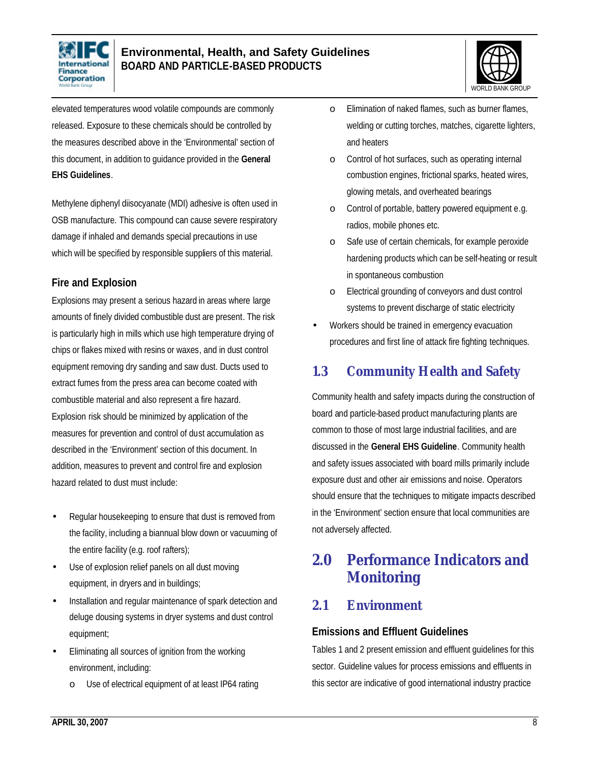



elevated temperatures wood volatile compounds are commonly released. Exposure to these chemicals should be controlled by the measures described above in the 'Environmental' section of this document, in addition to guidance provided in the **General EHS Guidelines**.

Methylene diphenyl diisocyanate (MDI) adhesive is often used in OSB manufacture. This compound can cause severe respiratory damage if inhaled and demands special precautions in use which will be specified by responsible suppliers of this material.

### **Fire and Explosion**

Explosions may present a serious hazard in areas where large amounts of finely divided combustible dust are present. The risk is particularly high in mills which use high temperature drying of chips or flakes mixed with resins or waxes, and in dust control equipment removing dry sanding and saw dust. Ducts used to extract fumes from the press area can become coated with combustible material and also represent a fire hazard. Explosion risk should be minimized by application of the measures for prevention and control of dust accumulation as described in the 'Environment' section of this document. In addition, measures to prevent and control fire and explosion hazard related to dust must include:

- Regular housekeeping to ensure that dust is removed from the facility, including a biannual blow down or vacuuming of the entire facility (e.g. roof rafters);
- Use of explosion relief panels on all dust moving equipment, in dryers and in buildings;
- Installation and regular maintenance of spark detection and deluge dousing systems in dryer systems and dust control equipment;
- Eliminating all sources of ignition from the working environment, including:
	- o Use of electrical equipment of at least IP64 rating
- o Elimination of naked flames, such as burner flames, welding or cutting torches, matches, cigarette lighters, and heaters
- o Control of hot surfaces, such as operating internal combustion engines, frictional sparks, heated wires, glowing metals, and overheated bearings
- o Control of portable, battery powered equipment e.g. radios, mobile phones etc.
- o Safe use of certain chemicals, for example peroxide hardening products which can be self-heating or result in spontaneous combustion
- o Electrical grounding of conveyors and dust control systems to prevent discharge of static electricity
- Workers should be trained in emergency evacuation procedures and first line of attack fire fighting techniques.

# **1.3 Community Health and Safety**

Community health and safety impacts during the construction of board and particle-based product manufacturing plants are common to those of most large industrial facilities, and are discussed in the **General EHS Guideline**. Community health and safety issues associated with board mills primarily include exposure dust and other air emissions and noise. Operators should ensure that the techniques to mitigate impacts described in the 'Environment' section ensure that local communities are not adversely affected.

# **2.0 Performance Indicators and Monitoring**

# **2.1 Environment**

# **Emissions and Effluent Guidelines**

Tables 1 and 2 present emission and effluent guidelines for this sector. Guideline values for process emissions and effluents in this sector are indicative of good international industry practice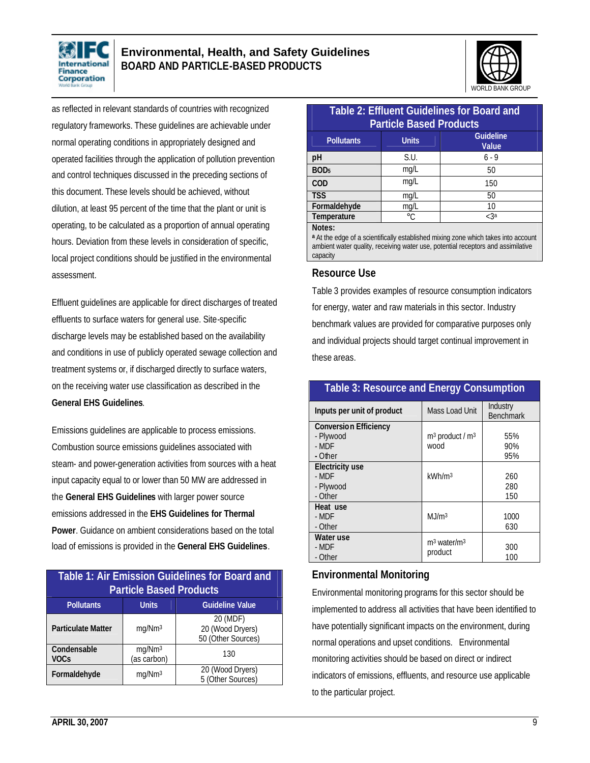



as reflected in relevant standards of countries with recognized regulatory frameworks. These guidelines are achievable under normal operating conditions in appropriately designed and operated facilities through the application of pollution prevention and control techniques discussed in the preceding sections of this document. These levels should be achieved, without dilution, at least 95 percent of the time that the plant or unit is operating, to be calculated as a proportion of annual operating hours. Deviation from these levels in consideration of specific, local project conditions should be justified in the environmental assessment.

Effluent guidelines are applicable for direct discharges of treated effluents to surface waters for general use. Site-specific discharge levels may be established based on the availability and conditions in use of publicly operated sewage collection and treatment systems or, if discharged directly to surface waters, on the receiving water use classification as described in the **General EHS Guidelines**.

Emissions guidelines are applicable to process emissions. Combustion source emissions guidelines associated with steam- and power-generation activities from sources with a heat input capacity equal to or lower than 50 MW are addressed in the **General EHS Guidelines** with larger power source emissions addressed in the **EHS Guidelines for Thermal Power**. Guidance on ambient considerations based on the total load of emissions is provided in the **General EHS Guidelines**.

| <b>Table 1: Air Emission Guidelines for Board and</b><br><b>Particle Based Products</b> |                                   |                                                    |  |  |
|-----------------------------------------------------------------------------------------|-----------------------------------|----------------------------------------------------|--|--|
| <b>Pollutants</b>                                                                       | <b>Units</b>                      | <b>Guideline Value</b>                             |  |  |
| <b>Particulate Matter</b>                                                               | mq/Mm <sup>3</sup>                | 20 (MDF)<br>20 (Wood Dryers)<br>50 (Other Sources) |  |  |
| Condensable<br><b>VOCs</b>                                                              | mg/Nm <sup>3</sup><br>(as carbon) | 130                                                |  |  |
| Formaldehyde                                                                            | mg/Nm <sup>3</sup>                | 20 (Wood Dryers)<br>5 (Other Sources)              |  |  |

| <b>Table 2: Effluent Guidelines for Board and</b><br><b>Particle Based Products</b> |              |                           |  |  |
|-------------------------------------------------------------------------------------|--------------|---------------------------|--|--|
| <b>Pollutants</b>                                                                   | <b>Units</b> | <b>Guideline</b><br>Value |  |  |
| рH                                                                                  | S.U.         | $6 - 9$                   |  |  |
| BOD <sub>5</sub>                                                                    | mg/L         | 50                        |  |  |
| COD                                                                                 | mg/L         | 150                       |  |  |
| <b>TSS</b>                                                                          | mq/L         | 50                        |  |  |
| Formaldehyde                                                                        | mq/L         | 10                        |  |  |
| Temperature                                                                         | °C           | $<$ 3a                    |  |  |
| N                                                                                   |              |                           |  |  |

**Notes:**

**<sup>a</sup>** At the edge of a scientifically established mixing zone which takes into account ambient water quality, receiving water use, potential receptors and assimilative capacity

### **Resource Use**

Table 3 provides examples of resource consumption indicators for energy, water and raw materials in this sector. Industry benchmark values are provided for comparative purposes only and individual projects should target continual improvement in these areas.

| Inputs per unit of product                                      | Mass Load Unit                       | Industry<br><b>Benchmark</b> |
|-----------------------------------------------------------------|--------------------------------------|------------------------------|
| <b>Conversion Efficiency</b><br>- Plywood<br>$-MDF$<br>$-Other$ | $m3$ product / $m3$<br>wood          | 55%<br>90%<br>95%            |
| <b>Electricity use</b><br>$-MDF$<br>- Plywood<br>- Other        | kWh/m <sup>3</sup>                   | 260<br>280<br>150            |
| Heat use<br>- MDF<br>- Other                                    | $M$ J/m <sup>3</sup>                 | 1000<br>630                  |
| Water use<br>- MDF<br>- Other                                   | $m3$ water/m <sup>3</sup><br>product | 300<br>100                   |

# **Table 3: Resource and Energy Consumption**

# **Environmental Monitoring**

Environmental monitoring programs for this sector should be implemented to address all activities that have been identified to have potentially significant impacts on the environment, during normal operations and upset conditions. Environmental monitoring activities should be based on direct or indirect indicators of emissions, effluents, and resource use applicable to the particular project.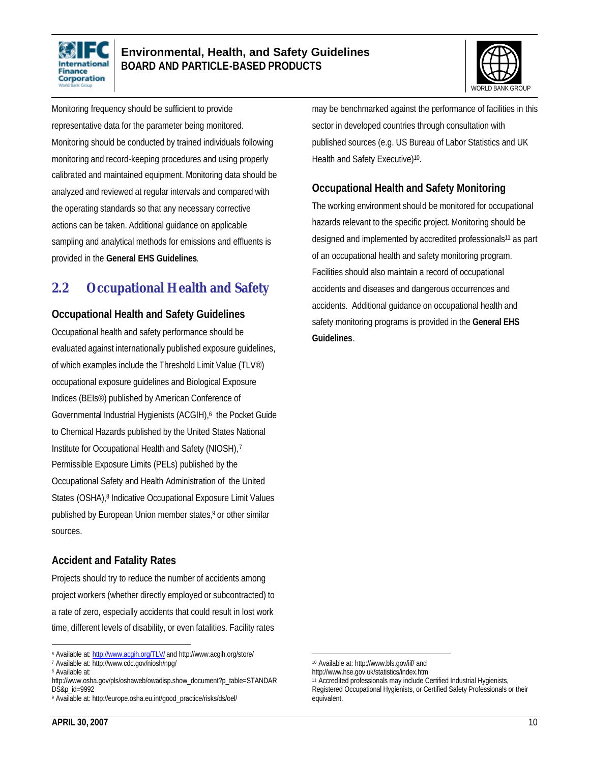



Monitoring frequency should be sufficient to provide representative data for the parameter being monitored. Monitoring should be conducted by trained individuals following monitoring and record-keeping procedures and using properly calibrated and maintained equipment. Monitoring data should be analyzed and reviewed at regular intervals and compared with the operating standards so that any necessary corrective actions can be taken. Additional guidance on applicable sampling and analytical methods for emissions and effluents is provided in the **General EHS Guidelines**.

# **2.2 Occupational Health and Safety**

### **Occupational Health and Safety Guidelines**

Occupational health and safety performance should be evaluated against internationally published exposure guidelines, of which examples include the Threshold Limit Value (TLV®) occupational exposure guidelines and Biological Exposure Indices (BEIs®) published by American Conference of Governmental Industrial Hygienists (ACGIH),<sup>6</sup> the Pocket Guide to Chemical Hazards published by the United States National Institute for Occupational Health and Safety (NIOSH),<sup>7</sup> Permissible Exposure Limits (PELs) published by the Occupational Safety and Health Administration of the United States (OSHA),<sup>8</sup> Indicative Occupational Exposure Limit Values published by European Union member states,<sup>9</sup> or other similar sources.

# **Accident and Fatality Rates**

Projects should try to reduce the number of accidents among project workers (whether directly employed or subcontracted) to a rate of zero, especially accidents that could result in lost work time, different levels of disability, or even fatalities. Facility rates may be benchmarked against the performance of facilities in this sector in developed countries through consultation with published sources (e.g. US Bureau of Labor Statistics and UK Health and Safety Executive)<sup>10</sup>.

# **Occupational Health and Safety Monitoring**

The working environment should be monitored for occupational hazards relevant to the specific project. Monitoring should be designed and implemented by accredited professionals<sup>11</sup> as part of an occupational health and safety monitoring program. Facilities should also maintain a record of occupational accidents and diseases and dangerous occurrences and accidents. Additional guidance on occupational health and safety monitoring programs is provided in the **General EHS Guidelines**.

 $\overline{a}$ 

 $\overline{a}$ <sup>6</sup> Available at: http://www.acgih.org/TLV/ and http://www.acgih.org/store/

<sup>7</sup> Available at: http://www.cdc.gov/niosh/npg/ 8 Available at:

http://www.osha.gov/pls/oshaweb/owadisp.show\_document?p\_table=STANDAR DS&p\_id=9992

<sup>9</sup> Available at: http://europe.osha.eu.int/good\_practice/risks/ds/oel/

<sup>10</sup> Available at: http://www.bls.gov/iif/ and

http://www.hse.gov.uk/statistics/index.htm

<sup>11</sup> Accredited professionals may include Certified Industrial Hygienists, Registered Occupational Hygienists, or Certified Safety Professionals or their equivalent.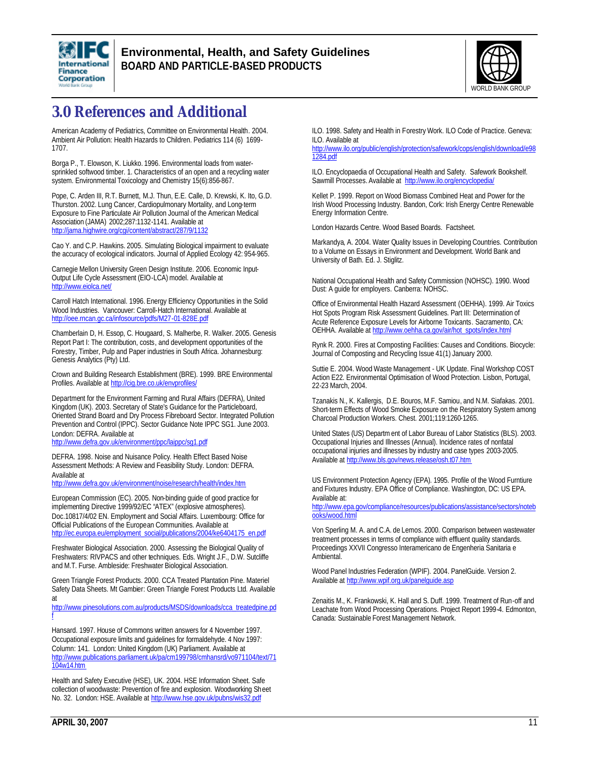



# **3.0 References and Additional**

American Academy of Pediatrics, Committee on Environmental Health. 2004. Ambient Air Pollution: Health Hazards to Children. Pediatrics 114 (6) 1699- 1707.

Borga P., T. Elowson, K. Liukko. 1996. Environmental loads from watersprinkled softwood timber. 1. Characteristics of an open and a recycling water system. Environmental Toxicology and Chemistry 15(6):856-867.

Pope, C. Arden III, R.T. Burnett, M.J. Thun, E.E. Calle, D. Krewski, K. Ito, G.D. Thurston. 2002. Lung Cancer, Cardiopulmonary Mortality, and Long-term Exposure to Fine Particulate Air Pollution Journal of the American Medical Association (JAMA) 2002;287:1132-1141. Available at http://jama.highwire.org/cgi/content/abstract/287/9/1132

Cao Y. and C.P. Hawkins. 2005. Simulating Biological impairment to evaluate the accuracy of ecological indicators. Journal of Applied Ecology 42: 954-965.

Carnegie Mellon University Green Design Institute. 2006. Economic Input-Output Life Cycle Assessment (EIO-LCA) model. Available at http://www.eiolca.net/

Carroll Hatch International. 1996. Energy Efficiency Opportunities in the Solid Wood Industries. Vancouver: Carroll-Hatch International. Available at http://oee.rncan.gc.ca/infosource/pdfs/M27-01-828E.pdf

Chamberlain D, H. Essop, C. Hougaard, S. Malherbe, R. Walker. 2005. Genesis Report Part I: The contribution, costs, and development opportunities of the Forestry, Timber, Pulp and Paper industries in South Africa. Johannesburg: Genesis Analytics (Pty) Ltd.

Crown and Building Research Establishment (BRE). 1999. BRE Environmental Profiles. Available at http://cig.bre.co.uk/envprofiles/

Department for the Environment Farming and Rural Affairs (DEFRA), United Kingdom (UK). 2003. Secretary of State's Guidance for the Particleboard, Oriented Strand Board and Dry Process Fibreboard Sector. Integrated Pollution Prevention and Control (IPPC). Sector Guidance Note IPPC SG1. June 2003. London: DEFRA. Available at

http://www.defra.gov.uk/environment/ppc/laippc/sg1.pdf

DEFRA. 1998. Noise and Nuisance Policy. Health Effect Based Noise Assessment Methods: A Review and Feasibility Study. London: DEFRA. Available at

http://www.defra.gov.uk/environment/noise/research/health/index.htm

European Commission (EC). 2005. Non-binding guide of good practice for implementing Directive 1999/92/EC "ATEX" (explosive atmospheres). Doc.10817/4/02 EN. Employment and Social Affairs. Luxembourg: Office for Official Publications of the European Communities. Available at http://ec.europa.eu/employment\_social/publications/2004/ke6404175\_en.pdf

Freshwater Biological Association. 2000. Assessing the Biological Quality of Freshwaters: RIVPACS and other techniques. Eds. Wright J.F., D.W. Sutcliffe and M.T. Furse. Ambleside: Freshwater Biological Association.

Green Triangle Forest Products. 2000. CCA Treated Plantation Pine. Materiel Safety Data Sheets. Mt Gambier: Green Triangle Forest Products Ltd. Available at

http://www.pinesolutions.com.au/products/MSDS/downloads/cca\_treatedpine.pd f

Hansard. 1997. House of Commons written answers for 4 November 1997. Occupational exposure limits and guidelines for formaldehyde. 4 Nov 1997: Column: 141. London: United Kingdom (UK) Parliament. Available at http://www.publications.parliament.uk/pa/cm199798/cmhansrd/vo971104/text/71 104w14.htm

Health and Safety Executive (HSE), UK. 2004. HSE Information Sheet. Safe collection of woodwaste: Prevention of fire and explosion. Woodworking Sheet No. 32. London: HSE. Available at http://www.hse.gov.uk/pubns/wis32.pdf

ILO. 1998. Safety and Health in Forestry Work. ILO Code of Practice. Geneva: ILO. Available at

http://www.ilo.org/public/english/protection/safework/cops/english/download/e98 1284.pdf

ILO. Encyclopaedia of Occupational Health and Safety. Safework Bookshelf. Sawmill Processes. Available at http://www.ilo.org/encyclopedia/

Kellet P. 1999. Report on Wood Biomass Combined Heat and Power for the Irish Wood Processing Industry. Bandon, Cork: Irish Energy Centre Renewable Energy Information Centre.

London Hazards Centre. Wood Based Boards. Factsheet.

Markandya, A. 2004. Water Quality Issues in Developing Countries. Contribution to a Volume on Essays in Environment and Development. World Bank and University of Bath. Ed. J. Stiglitz.

National Occupational Health and Safety Commission (NOHSC). 1990. Wood Dust: A guide for employers. Canberra: NOHSC.

Office of Environmental Health Hazard Assessment (OEHHA). 1999. Air Toxics Hot Spots Program Risk Assessment Guidelines. Part III: Determination of Acute Reference Exposure Levels for Airborne Toxicants. Sacramento, CA: OEHHA. Available at http://www.oehha.ca.gov/air/hot\_spots/index.html

Rynk R. 2000. Fires at Composting Facilities: Causes and Conditions. Biocycle: Journal of Composting and Recycling Issue 41(1) January 2000.

Suttie E. 2004. Wood Waste Management - UK Update. Final Workshop COST Action E22. Environmental Optimisation of Wood Protection. Lisbon, Portugal, 22-23 March, 2004.

Tzanakis N., K. Kallergis, D.E. Bouros, M.F. Samiou, and N.M. Siafakas. 2001. Short-term Effects of Wood Smoke Exposure on the Respiratory System among Charcoal Production Workers. Chest. 2001;119:1260-1265.

United States (US) Department of Labor Bureau of Labor Statistics (BLS). 2003. Occupational Injuries and Illnesses (Annual). Incidence rates of nonfatal occupational injuries and illnesses by industry and case types 2003-2005. Available at http://www.bls.gov/news.release/osh.t07.htm

US Environment Protection Agency (EPA). 1995. Profile of the Wood Furntiure and Fixtures Industry. EPA Office of Compliance. Washington, DC: US EPA. Available at:

http://www.epa.gov/compliance/resources/publications/assistance/sectors/noteb ooks/wood.html

Von Sperling M. A. and C.A. de Lemos. 2000. Comparison between wastewater treatment processes in terms of compliance with effluent quality standards. Proceedings XXVII Congresso Interamericano de Engenheria Sanitaria e Ambiental.

Wood Panel Industries Federation (WPIF). 2004. PanelGuide. Version 2. Available at http://www.wpif.org.uk/panelquide.asp

Zenaitis M., K. Frankowski, K. Hall and S. Duff. 1999. Treatment of Run-off and Leachate from Wood Processing Operations. Project Report 1999-4. Edmonton, Canada: Sustainable Forest Management Network.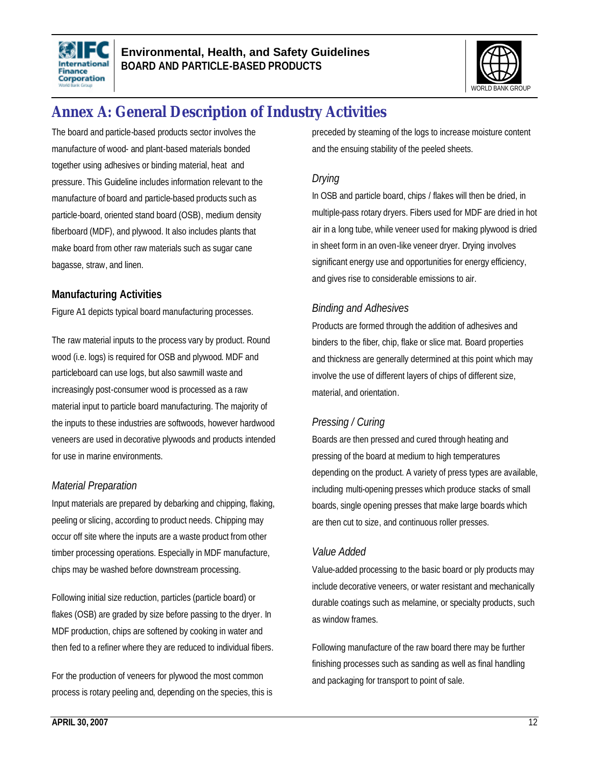



# **Annex A: General Description of Industry Activities**

The board and particle-based products sector involves the manufacture of wood- and plant-based materials bonded together using adhesives or binding material, heat and pressure. This Guideline includes information relevant to the manufacture of board and particle-based products such as particle-board, oriented stand board (OSB), medium density fiberboard (MDF), and plywood. It also includes plants that make board from other raw materials such as sugar cane bagasse, straw, and linen.

### **Manufacturing Activities**

Figure A1 depicts typical board manufacturing processes.

The raw material inputs to the process vary by product. Round wood (i.e. logs) is required for OSB and plywood. MDF and particleboard can use logs, but also sawmill waste and increasingly post-consumer wood is processed as a raw material input to particle board manufacturing. The majority of the inputs to these industries are softwoods, however hardwood veneers are used in decorative plywoods and products intended for use in marine environments.

#### *Material Preparation*

Input materials are prepared by debarking and chipping, flaking, peeling or slicing, according to product needs. Chipping may occur off site where the inputs are a waste product from other timber processing operations. Especially in MDF manufacture, chips may be washed before downstream processing.

Following initial size reduction, particles (particle board) or flakes (OSB) are graded by size before passing to the dryer. In MDF production, chips are softened by cooking in water and then fed to a refiner where they are reduced to individual fibers.

For the production of veneers for plywood the most common process is rotary peeling and, depending on the species, this is preceded by steaming of the logs to increase moisture content and the ensuing stability of the peeled sheets.

# *Drying*

In OSB and particle board, chips / flakes will then be dried, in multiple-pass rotary dryers. Fibers used for MDF are dried in hot air in a long tube, while veneer used for making plywood is dried in sheet form in an oven-like veneer dryer. Drying involves significant energy use and opportunities for energy efficiency, and gives rise to considerable emissions to air.

### *Binding and Adhesives*

Products are formed through the addition of adhesives and binders to the fiber, chip, flake or slice mat. Board properties and thickness are generally determined at this point which may involve the use of different layers of chips of different size, material, and orientation.

### *Pressing / Curing*

Boards are then pressed and cured through heating and pressing of the board at medium to high temperatures depending on the product. A variety of press types are available, including multi-opening presses which produce stacks of small boards, single opening presses that make large boards which are then cut to size, and continuous roller presses.

#### *Value Added*

Value-added processing to the basic board or ply products may include decorative veneers, or water resistant and mechanically durable coatings such as melamine, or specialty products, such as window frames.

Following manufacture of the raw board there may be further finishing processes such as sanding as well as final handling and packaging for transport to point of sale.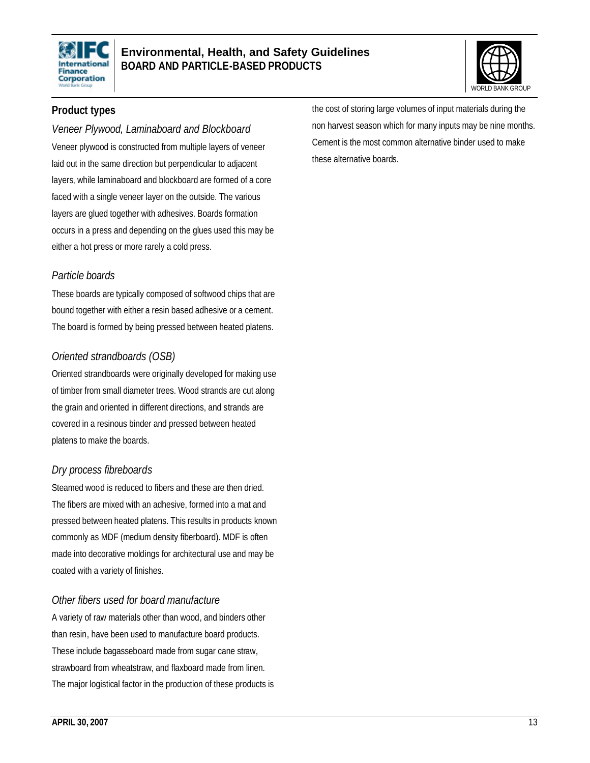



### **Product types**

*Veneer Plywood, Laminaboard and Blockboard* Veneer plywood is constructed from multiple layers of veneer laid out in the same direction but perpendicular to adjacent layers, while laminaboard and blockboard are formed of a core faced with a single veneer layer on the outside. The various layers are glued together with adhesives. Boards formation occurs in a press and depending on the glues used this may be either a hot press or more rarely a cold press.

### *Particle boards*

These boards are typically composed of softwood chips that are bound together with either a resin based adhesive or a cement. The board is formed by being pressed between heated platens.

### *Oriented strandboards (OSB)*

Oriented strandboards were originally developed for making use of timber from small diameter trees. Wood strands are cut along the grain and oriented in different directions, and strands are covered in a resinous binder and pressed between heated platens to make the boards.

### *Dry process fibreboards*

Steamed wood is reduced to fibers and these are then dried. The fibers are mixed with an adhesive, formed into a mat and pressed between heated platens. This results in products known commonly as MDF (medium density fiberboard). MDF is often made into decorative moldings for architectural use and may be coated with a variety of finishes.

### *Other fibers used for board manufacture*

A variety of raw materials other than wood, and binders other than resin, have been used to manufacture board products. These include bagasseboard made from sugar cane straw, strawboard from wheatstraw, and flaxboard made from linen. The major logistical factor in the production of these products is the cost of storing large volumes of input materials during the non harvest season which for many inputs may be nine months. Cement is the most common alternative binder used to make these alternative boards.